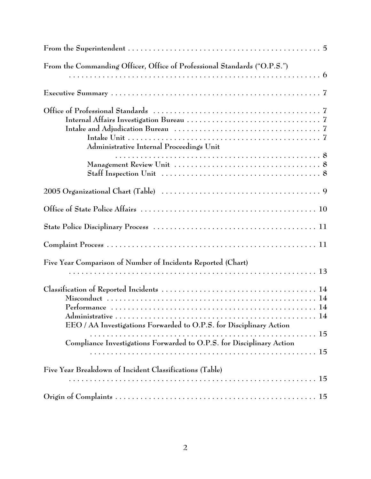| From the Commanding Officer, Office of Professional Standards ("O.P.S.")                                    |  |
|-------------------------------------------------------------------------------------------------------------|--|
|                                                                                                             |  |
|                                                                                                             |  |
| Administrative Internal Proceedings Unit                                                                    |  |
| Staff Inspection Unit $\ldots \ldots \ldots \ldots \ldots \ldots \ldots \ldots \ldots \ldots \ldots \ldots$ |  |
|                                                                                                             |  |
|                                                                                                             |  |
|                                                                                                             |  |
|                                                                                                             |  |
| Five Year Comparison of Number of Incidents Reported (Chart)                                                |  |
| EEO / AA Investigations Forwarded to O.P.S. for Disciplinary Action                                         |  |
| Compliance Investigations Forwarded to O.P.S. for Disciplinary Action                                       |  |
| Five Year Breakdown of Incident Classifications (Table)                                                     |  |
|                                                                                                             |  |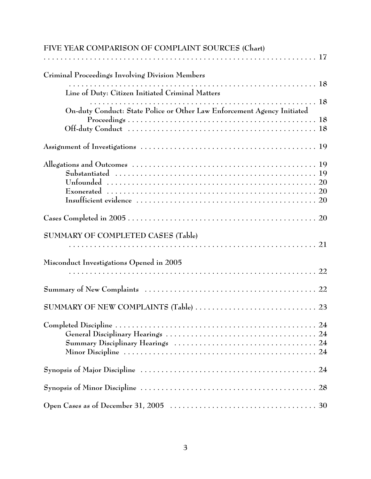| FIVE YEAR COMPARISON OF COMPLAINT SOURCES (Chart)                       |
|-------------------------------------------------------------------------|
|                                                                         |
| Criminal Proceedings Involving Division Members                         |
| Line of Duty: Citizen Initiated Criminal Matters                        |
|                                                                         |
| On-duty Conduct: State Police or Other Law Enforcement Agency Initiated |
|                                                                         |
|                                                                         |
|                                                                         |
|                                                                         |
|                                                                         |
|                                                                         |
| SUMMARY OF COMPLETED CASES (Table)                                      |
|                                                                         |
| Misconduct Investigations Opened in 2005                                |
|                                                                         |
|                                                                         |
|                                                                         |
|                                                                         |
|                                                                         |
|                                                                         |
|                                                                         |
|                                                                         |
|                                                                         |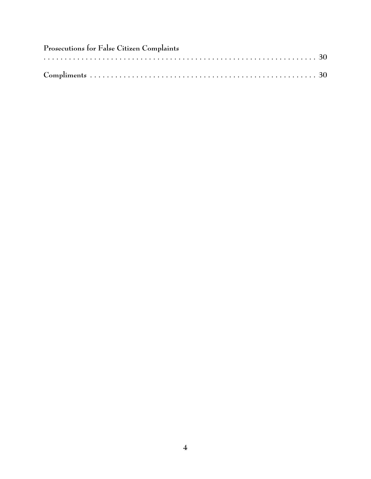| Prosecutions for False Citizen Complaints |  |  |  |  |  |
|-------------------------------------------|--|--|--|--|--|
|                                           |  |  |  |  |  |
|                                           |  |  |  |  |  |
|                                           |  |  |  |  |  |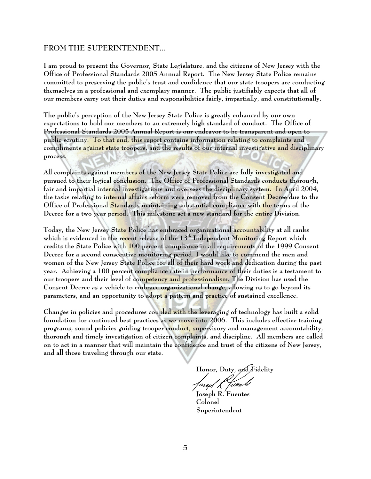#### **FROM THE SUPERINTENDENT...**

I am proud to present the Governor, State Legislature, and the citizens of New Jersey with the Office of Professional Standards 2005 Annual Report. The New Jersey State Police remains committed to preserving the public's trust and confidence that our state troopers are conducting themselves in a professional and exemplary manner. The public justifiably expects that all of our members carry out their duties and responsibilities fairly, impartially, and constitutionally.

The public's perception of the New Jersey State Police is greatly enhanced by our own expectations to hold our members to an extremely high standard of conduct. The Office of Professional Standards 2005 Annual Report is our endeavor to be transparent and open to public scrutiny. To that end, this report contains information relating to complaints and compliments against state troopers, and the results of our internal investigative and disciplinary process.

All complaints against members of the New Jersey State Police are fully investigated and pursued to their logical conclusion. The Office of Professional Standards conducts thorough, fair and impartial internal investigations and oversees the disciplinary system. In April 2004, the tasks relating to internal affairs reform were removed from the Consent Decree due to the Office of Professional Standards maintaining substantial compliance with the terms of the Decree for a two year period. This milestone set a new standard for the entire Division.

Today, the New Jersey State Police has embraced organizational accountability at all ranks which is evidenced in the recent release of the 13<sup>th</sup> Independent Monitoring Report which credits the State Police with 100 percent compliance in all requirements of the 1999 Consent Decree for a second consecutive monitoring period. I would like to commend the men and women of the New Jersey State Police for all of their hard work and dedication during the past year. Achieving a 100 percent compliance rate in performance of their duties is a testament to our troopers and their level of competency and professionalism. The Division has used the Consent Decree as a vehicle to embrace organizational change, allowing us to go beyond its parameters, and an opportunity to adopt a pattern and practice of sustained excellence.

Changes in policies and procedures coupled with the leveraging of technology has built a solid foundation for continued best practices as we move into 2006. This includes effective training programs, sound policies guiding trooper conduct, supervisory and management accountability, thorough and timely investigation of citizen complaints, and discipline. All members are called on to act in a manner that will maintain the confidence and trust of the citizens of New Jersey, and all those traveling through our state.

Honor, Duty, and Fidelity<br>Joseph K *Luen M* 

**Joseph R. Fuentes Colonel Superintendent**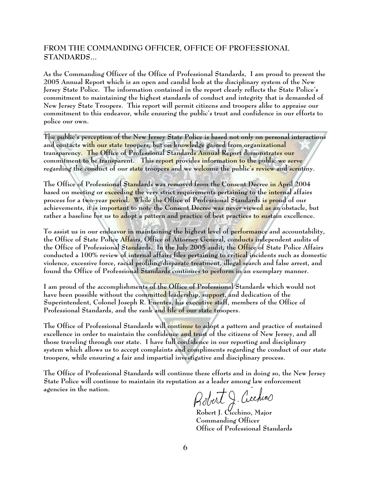#### **FROM THE COMMANDING OFFICER, OFFICE OF PROFESSIONAL STANDARDS...**

As the Commanding Officer of the Office of Professional Standards, I am proud to present the 2005 Annual Report which is an open and candid look at the disciplinary system of the New Jersey State Police. The information contained in the report clearly reflects the State Police's commitment to maintaining the highest standards of conduct and integrity that is demanded of New Jersey State Troopers. This report will permit citizens and troopers alike to appraise our commitment to this endeavor, while ensuring the public's trust and confidence in our efforts to police our own.

The public's perception of the New Jersey State Police is based not only on personal interactions and contacts with our state troopers, but on knowledge gained from organizational transparency. The Office of Professional Standards Annual Report demonstrates our commitment to be transparent. This report provides information to the public we serve regarding the conduct of our state troopers and we welcome the public's review and scrutiny.

The Office of Professional Standards was removed from the Consent Decree in April 2004 based on meeting or exceeding the very strict requirements pertaining to the internal affairs process for a two-year period. While the Office of Professional Standards is proud of our achievements, it is imp<mark>ortan</mark>t to note the Consent Decree was never viewed as an obstacle, but rather a baseline for us to adopt a pattern and practice of best practices to sustain excellence.

To assist us in our endeavor in maintaining the highest level of performance and accountability, the Office of State Police Affairs, Office of Attorney General, conducts independent audits of the Office of Professional Standards. In the July 2005 audit, the Office of State Police Affairs conducted a 100% review of internal affairs files pertaining to critical incidents such as domestic violence, excessive force, racial profiling/disparate treatment, illegal search and false arrest, and found the Office of Professional Standards continues to perform in an exemplary manner.

I am proud of the accomplishments of the Office of Professional Standards which would not have been possible without the committed leadership, support, and dedication of the Superintendent, Colonel Joseph R. Fuentes, his executive staff, members of the Office of Professional Standards, and the rank and file of our state troopers.

The Office of Professional Standards will continue to adopt a pattern and practice of sustained excellence in order to maintain the confidence and trust of the citizens of New Jersey, and all those traveling through our state. I have full confidence in our reporting and disciplinary system which allows us to accept complaints and compliments regarding the conduct of our state troopers, while ensuring a fair and impartial investigative and disciplinary process.

The Office of Professional Standards will continue these efforts and in doing so, the New Jersey State Police will continue to maintain its reputation as a leader among law enforcement agencies in the nation.

**Robert J. Cicchino, Major**

**Commanding Officer Office of Professional Standards**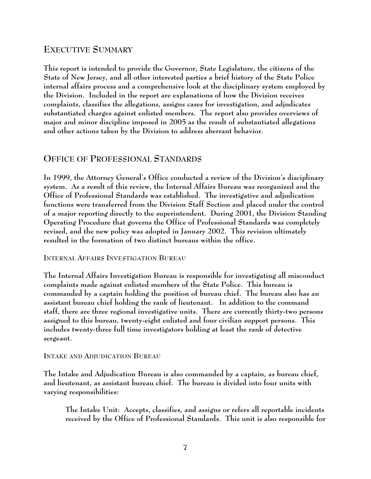## **EXECUTIVE SUMMARY**

**This report is intended to provide the Governor, State Legislature, the citizens of the State of New Jersey, and all other interested parties a brief history of the State Police internal affairs process and a comprehensive look at the disciplinary system employed by the Division. Included in the report are explanations of how the Division receives complaints, classifies the allegations, assigns cases for investigation, and adjudicates substantiated charges against enlisted members. The report also provides overviews of major and minor discipline imposed in 2005 as the result of substantiated allegations and other actions taken by the Division to address aberrant behavior.**

### **OFFICE OF PROFESSIONAL STANDARDS**

**In 1999, the Attorney General's Office conducted a review of the Division's disciplinary system. As a result of this review, the Internal Affairs Bureau was reorganized and the Office of Professional Standards was established. The investigative and adjudication functions were transferred from the Division Staff Section and placed under the control of a major reporting directly to the superintendent. During 2001, the Division Standing Operating Procedure that governs the Office of Professional Standards was completely revised, and the new policy was adopted in January 2002. This revision ultimately resulted in the formation of two distinct bureaus within the office.** 

**INTERNAL AFFAIRS INVESTIGATION BUREAU**

**The Internal Affairs Investigation Bureau is responsible for investigating all misconduct complaints made against enlisted members of the State Police. This bureau is commanded by a captain holding the position of bureau chief. The bureau also has an assistant bureau chief holding the rank of lieutenant. In addition to the command staff, there are three regional investigative units. There are currently thirty-two persons assigned to this bureau, twenty-eight enlisted and four civilian support persons. This includes twenty-three full time investigators holding at least the rank of detective sergeant.** 

#### **INTAKE AND ADJUDICATION BUREAU**

**The Intake and Adjudication Bureau is also commanded by a captain, as bureau chief, and lieutenant, as assistant bureau chief. The bureau is divided into four units with varying responsibilities:**

**The Intake Unit: Accepts, classifies, and assigns or refers all reportable incidents received by the Office of Professional Standards. This unit is also responsible for**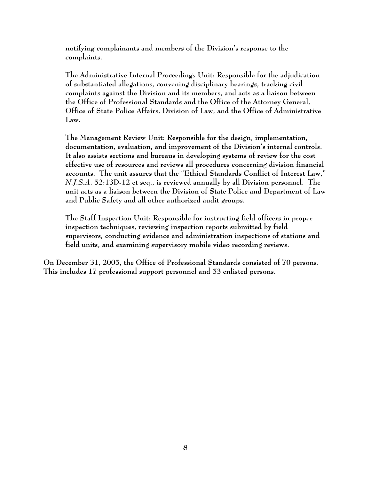**notifying complainants and members of the Division's response to the complaints.** 

**The Administrative Internal Proceedings Unit: Responsible for the adjudication of substantiated allegations, convening disciplinary hearings, tracking civil complaints against the Division and its members, and acts as a liaison between the Office of Professional Standards and the Office of the Attorney General, Office of State Police Affairs, Division of Law, and the Office of Administrative Law.**

**The Management Review Unit: Responsible for the design, implementation, documentation, evaluation, and improvement of the Division's internal controls. It also assists sections and bureaus in developing systems of review for the cost effective use of resources and reviews all procedures concerning division financial accounts. The unit assures that the "Ethical Standards Conflict of Interest Law,"** *N.J.S.A***. 52:13D-12 et seq., is reviewed annually by all Division personnel. The unit acts as a liaison between the Division of State Police and Department of Law and Public Safety and all other authorized audit groups.**

**The Staff Inspection Unit: Responsible for instructing field officers in proper inspection techniques, reviewing inspection reports submitted by field supervisors, conducting evidence and administration inspections of stations and field units, and examining supervisory mobile video recording reviews.** 

**On December 31, 2005, the Office of Professional Standards consisted of 70 persons. This includes 17 professional support personnel and 53 enlisted persons.**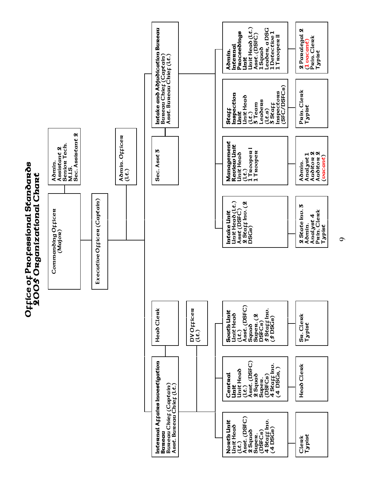

**9**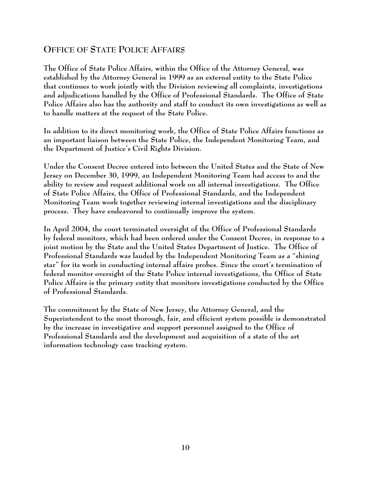# **OFFICE OF STATE POLICE AFFAIRS**

**The Office of State Police Affairs, within the Office of the Attorney General, was established by the Attorney General in 1999 as an external entity to the State Police that continues to work jointly with the Division reviewing all complaints, investigations and adjudications handled by the Office of Professional Standards. The Office of State Police Affairs also has the authority and staff to conduct its own investigations as well as to handle matters at the request of the State Police.** 

**In addition to its direct monitoring work, the Office of State Police Affairs functions as an important liaison between the State Police, the Independent Monitoring Team, and the Department of Justice's Civil Rights Division.**

**Under the Consent Decree entered into between the United States and the State of New Jersey on December 30, 1999, an Independent Monitoring Team had access to and the ability to review and request additional work on all internal investigations. The Office of State Police Affairs, the Office of Professional Standards, and the Independent Monitoring Team work together reviewing internal investigations and the disciplinary process. They have endeavored to continually improve the system.**

**In April 2004, the court terminated oversight of the Office of Professional Standards by federal monitors, which had been ordered under the Consent Decree, in response to a joint motion by the State and the United States Department of Justice. The Office of Professional Standards was lauded by the Independent Monitoring Team as a "shining star" for its work in conducting internal affairs probes. Since the court's termination of federal monitor oversight of the State Police internal investigations, the Office of State Police Affairs is the primary entity that monitors investigations conducted by the Office of Professional Standards.** 

**The commitment by the State of New Jersey, the Attorney General, and the Superintendent to the most thorough, fair, and efficient system possible is demonstrated by the increase in investigative and support personnel assigned to the Office of Professional Standards and the development and acquisition of a state of the art information technology case tracking system.**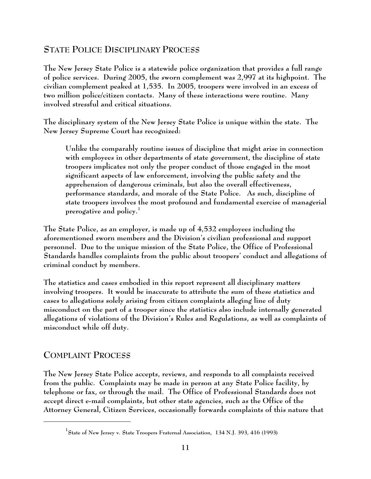# **STATE POLICE DISCIPLINARY PROCESS**

**The New Jersey State Police is a statewide police organization that provides a full range of police services. During 2005, the sworn complement was 2,997 at its highpoint. The civilian complement peaked at 1,535. In 2005, troopers were involved in an excess of two million police/citizen contacts. Many of these interactions were routine. Many involved stressful and critical situations.**

**The disciplinary system of the New Jersey State Police is unique within the state. The New Jersey Supreme Court has recognized:**

**Unlike the comparably routine issues of discipline that might arise in connection with employees in other departments of state government, the discipline of state troopers implicates not only the proper conduct of those engaged in the most significant aspects of law enforcement, involving the public safety and the apprehension of dangerous criminals, but also the overall effectiveness, performance standards, and morale of the State Police. As such, discipline of state troopers involves the most profound and fundamental exercise of managerial prerogative and policy. 1**

**The State Police, as an employer, is made up of 4,532 employees including the aforementioned sworn members and the Division's civilian professional and support personnel. Due to the unique mission of the State Police, the Office of Professional Standards handles complaints from the public about troopers' conduct and allegations of criminal conduct by members.** 

**The statistics and cases embodied in this report represent all disciplinary matters involving troopers. It would be inaccurate to attribute the sum of these statistics and cases to allegations solely arising from citizen complaints alleging line of duty misconduct on the part of a trooper since the statistics also include internally generated allegations of violations of the Division's Rules and Regulations, as well as complaints of misconduct while off duty.**

## **COMPLAINT PROCESS**

**The New Jersey State Police accepts, reviews, and responds to all complaints received from the public. Complaints may be made in person at any State Police facility, by telephone or fax, or through the mail. The Office of Professional Standards does not accept direct e-mail complaints, but other state agencies, such as the Office of the Attorney General, Citizen Services, occasionally forwards complaints of this nature that**

**State of New Jersey v. State Troopers Fraternal Association, 134 N.J. 393, 416 (1993) 1**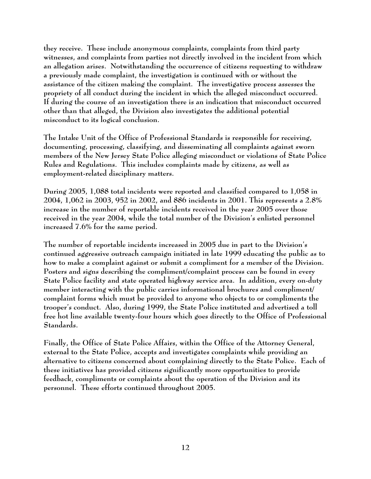**they receive. These include anonymous complaints, complaints from third party witnesses, and complaints from parties not directly involved in the incident from which an allegation arises. Notwithstanding the occurrence of citizens requesting to withdraw a previously made complaint, the investigation is continued with or without the assistance of the citizen making the complaint. The investigative process assesses the propriety of all conduct during the incident in which the alleged misconduct occurred. If during the course of an investigation there is an indication that misconduct occurred other than that alleged, the Division also investigates the additional potential misconduct to its logical conclusion.**

**The Intake Unit of the Office of Professional Standards is responsible for receiving, documenting, processing, classifying, and disseminating all complaints against sworn members of the New Jersey State Police alleging misconduct or violations of State Police Rules and Regulations. This includes complaints made by citizens, as well as employment-related disciplinary matters.**

**During 2005, 1,088 total incidents were reported and classified compared to 1,058 in 2004, 1,062 in 2003, 952 in 2002, and 886 incidents in 2001. This represents a 2.8% increase in the number of reportable incidents received in the year 2005 over those received in the year 2004, while the total number of the Division's enlisted personnel increased 7.6% for the same period.**

**The number of reportable incidents increased in 2005 due in part to the Division's continued aggressive outreach campaign initiated in late 1999 educating the public as to how to make a complaint against or submit a compliment for a member of the Division. Posters and signs describing the compliment/complaint process can be found in every State Police facility and state operated highway service area. In addition, every on-duty member interacting with the public carries informational brochures and compliment/ complaint forms which must be provided to anyone who objects to or compliments the trooper's conduct. Also, during 1999, the State Police instituted and advertised a toll free hot line available twenty-four hours which goes directly to the Office of Professional Standards.** 

**Finally, the Office of State Police Affairs, within the Office of the Attorney General, external to the State Police, accepts and investigates complaints while providing an alternative to citizens concerned about complaining directly to the State Police. Each of these initiatives has provided citizens significantly more opportunities to provide feedback, compliments or complaints about the operation of the Division and its personnel. These efforts continued throughout 2005.**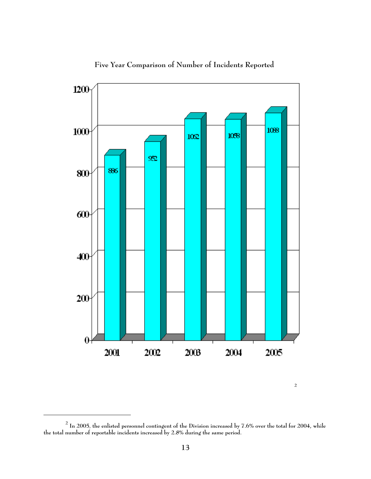

**Five Year Comparison of Number of Incidents Reported**

 $^2$  In 2005, the enlisted personnel contingent of the Division increased by 7.6% over the total for 2004, while **the total number of reportable incidents increased by 2.8% during the same period.**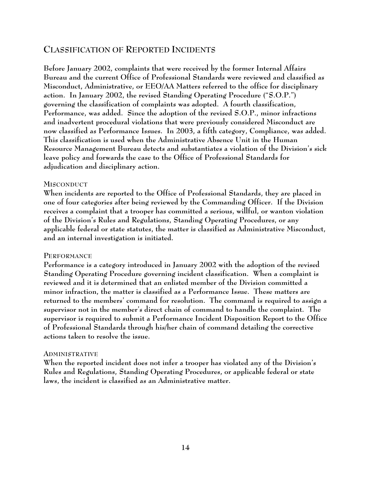## **CLASSIFICATION OF REPORTED INCIDENTS**

**Before January 2002, complaints that were received by the former Internal Affairs Bureau and the current Office of Professional Standards were reviewed and classified as Misconduct, Administrative, or EEO/AA Matters referred to the office for disciplinary action. In January 2002, the revised Standing Operating Procedure ("S.O.P.") governing the classification of complaints was adopted. A fourth classification, Performance, was added. Since the adoption of the revised S.O.P., minor infractions and inadvertent procedural violations that were previously considered Misconduct are now classified as Performance Issues. In 2003, a fifth category, Compliance, was added. This classification is used when the Administrative Absence Unit in the Human Resource Management Bureau detects and substantiates a violation of the Division's sick leave policy and forwards the case to the Office of Professional Standards for adjudication and disciplinary action.** 

#### **MISCONDUCT**

**When incidents are reported to the Office of Professional Standards, they are placed in one of four categories after being reviewed by the Commanding Officer. If the Division receives a complaint that a trooper has committed a serious, willful, or wanton violation of the Division's Rules and Regulations, Standing Operating Procedures, or any applicable federal or state statutes, the matter is classified as Administrative Misconduct, and an internal investigation is initiated.**

### **PERFORMANCE**

**Performance is a category introduced in January 2002 with the adoption of the revised Standing Operating Procedure governing incident classification. When a complaint is reviewed and it is determined that an enlisted member of the Division committed a minor infraction, the matter is classified as a Performance Issue. These matters are returned to the members' command for resolution. The command is required to assign a supervisor not in the member's direct chain of command to handle the complaint. The supervisor is required to submit a Performance Incident Disposition Report to the Office of Professional Standards through his/her chain of command detailing the corrective actions taken to resolve the issue.**

#### **ADMINISTRATIVE**

**When the reported incident does not infer a trooper has violated any of the Division's Rules and Regulations, Standing Operating Procedures, or applicable federal or state laws, the incident is classified as an Administrative matter.**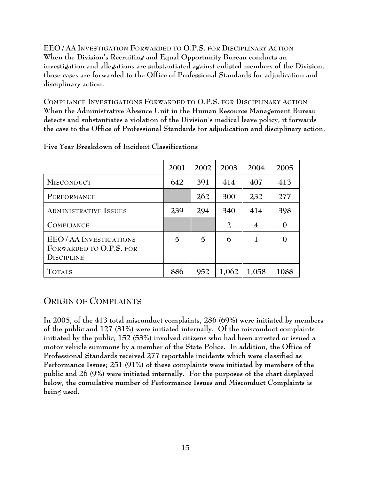**EEO / AA INVESTIGATION FORWARDED TO O.P.S. FOR DISCIPLINARY ACTION When the Division's Recruiting and Equal Opportunity Bureau conducts an investigation and allegations are substantiated against enlisted members of the Division, those cases are forwarded to the Office of Professional Standards for adjudication and disciplinary action.**

**COMPLIANCE INVESTIGATIONS FORWARDED TO O.P.S. FOR DISCIPLINARY ACTION When the Administrative Absence Unit in the Human Resource Management Bureau detects and substantiates a violation of the Division's medical leave policy, it forwards the case to the Office of Professional Standards for adjudication and disciplinary action.**

|                                                                              | 2001 | 2002 | 2003           | 2004           | 2005           |
|------------------------------------------------------------------------------|------|------|----------------|----------------|----------------|
| <b>MISCONDUCT</b>                                                            | 642  | 391  | 414            | 407            | 413            |
| PERFORMANCE                                                                  |      | 262  | 300            | 232            | 277            |
| <b>ADMINISTRATIVE ISSUES</b>                                                 | 239  | 294  | 340            | 414            | 398            |
| <b>COMPLIANCE</b>                                                            |      |      | $\overline{2}$ | $\overline{4}$ | $\overline{0}$ |
| <b>EEO/AA INVESTIGATIONS</b><br>FORWARDED TO O.P.S. FOR<br><b>DISCIPLINE</b> | 5    | 5    | 6              | 1              | $\overline{0}$ |
| <b>TOTALS</b>                                                                | 886  | 952  | 1,062          | 1,058          | 1088           |

**Five Year Breakdown of Incident Classifications**

## **ORIGIN OF COMPLAINTS**

**In 2005, of the 413 total misconduct complaints, 286 (69%) were initiated by members of the public and 127 (31%) were initiated internally. Of the misconduct complaints initiated by the public, 152 (53%) involved citizens who had been arrested or issued a motor vehicle summons by a member of the State Police. In addition, the Office of Professional Standards received 277 reportable incidents which were classified as Performance Issues; 251 (91%) of these complaints were initiated by members of the public and 26 (9%) were initiated internally. For the purposes of the chart displayed below, the cumulative number of Performance Issues and Misconduct Complaints is being used.**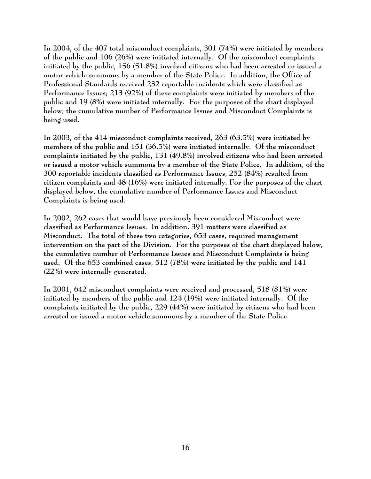**In 2004, of the 407 total misconduct complaints, 301 (74%) were initiated by members of the public and 106 (26%) were initiated internally. Of the misconduct complaints initiated by the public, 156 (51.8%) involved citizens who had been arrested or issued a motor vehicle summons by a member of the State Police. In addition, the Office of Professional Standards received 232 reportable incidents which were classified as Performance Issues; 213 (92%) of these complaints were initiated by members of the public and 19 (8%) were initiated internally. For the purposes of the chart displayed below, the cumulative number of Performance Issues and Misconduct Complaints is being used.** 

**In 2003, of the 414 misconduct complaints received, 263 (63.5%) were initiated by members of the public and 151 (36.5%) were initiated internally. Of the misconduct complaints initiated by the public, 131 (49.8%) involved citizens who had been arrested or issued a motor vehicle summons by a member of the State Police. In addition, of the 300 reportable incidents classified as Performance Issues, 252 (84%) resulted from citizen complaints and 48 (16%) were initiated internally. For the purposes of the chart displayed below, the cumulative number of Performance Issues and Misconduct Complaints is being used.** 

**In 2002, 262 cases that would have previously been considered Misconduct were classified as Performance Issues. In addition, 391 matters were classified as Misconduct. The total of these two categories, 653 cases, required management intervention on the part of the Division. For the purposes of the chart displayed below, the cumulative number of Performance Issues and Misconduct Complaints is being used. Of the 653 combined cases, 512 (78%) were initiated by the public and 141 (22%) were internally generated.** 

**In 2001, 642 misconduct complaints were received and processed, 518 (81%) were initiated by members of the public and 124 (19%) were initiated internally. Of the complaints initiated by the public, 229 (44%) were initiated by citizens who had been arrested or issued a motor vehicle summons by a member of the State Police.**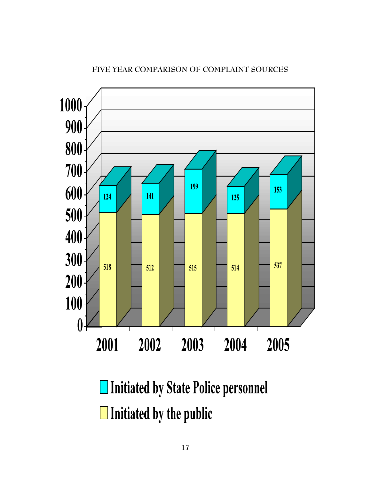

### **FIVE YEAR COMPARISON OF COMPLAINT SOURCES**

□ Initiated by State Police personnel  $\Box$  Initiated by the public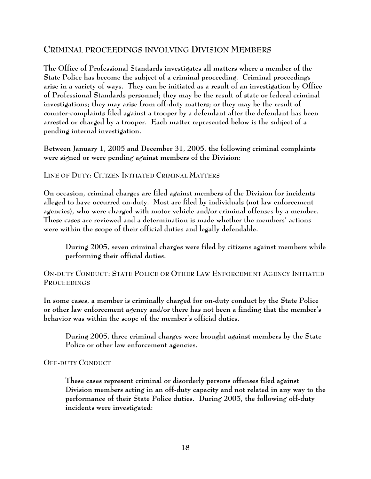### **CRIMINAL PROCEEDINGS INVOLVING DIVISION MEMBERS**

**The Office of Professional Standards investigates all matters where a member of the State Police has become the subject of a criminal proceeding. Criminal proceedings arise in a variety of ways. They can be initiated as a result of an investigation by Office of Professional Standards personnel; they may be the result of state or federal criminal investigations; they may arise from off-duty matters; or they may be the result of counter-complaints filed against a trooper by a defendant after the defendant has been arrested or charged by a trooper. Each matter represented below is the subject of a pending internal investigation.**

**Between January 1, 2005 and December 31, 2005, the following criminal complaints were signed or were pending against members of the Division:**

**LINE OF DUTY: CITIZEN INITIATED CRIMINAL MATTERS**

**On occasion, criminal charges are filed against members of the Division for incidents alleged to have occurred on-duty. Most are filed by individuals (not law enforcement agencies), who were charged with motor vehicle and/or criminal offenses by a member. These cases are reviewed and a determination is made whether the members' actions were within the scope of their official duties and legally defendable.** 

**During 2005, seven criminal charges were filed by citizens against members while performing their official duties.**

**ON-DUTY CONDUCT: STATE POLICE OR OTHER LAW ENFORCEMENT AGENCY INITIATED PROCEEDINGS**

**In some cases, a member is criminally charged for on-duty conduct by the State Police or other law enforcement agency and/or there has not been a finding that the member's behavior was within the scope of the member's official duties.**

**During 2005, three criminal charges were brought against members by the State Police or other law enforcement agencies.**

#### **OFF-DUTY CONDUCT**

**These cases represent criminal or disorderly persons offenses filed against Division members acting in an off-duty capacity and not related in any way to the performance of their State Police duties. During 2005, the following off-duty incidents were investigated:**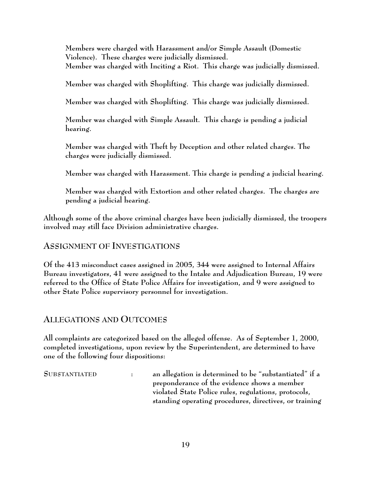**Members were charged with Harassment and/or Simple Assault (Domestic Violence). These charges were judicially dismissed. Member was charged with Inciting a Riot. This charge was judicially dismissed.**

**Member was charged with Shoplifting. This charge was judicially dismissed.**

**Member was charged with Shoplifting. This charge was judicially dismissed.**

**Member was charged with Simple Assault. This charge is pending a judicial hearing.**

**Member was charged with Theft by Deception and other related charges. The charges were judicially dismissed.**

**Member was charged with Harassment. This charge is pending a judicial hearing.**

**Member was charged with Extortion and other related charges. The charges are pending a judicial hearing.**

**Although some of the above criminal charges have been judicially dismissed, the troopers involved may still face Division administrative charges.**

## **ASSIGNMENT OF INVESTIGATIONS**

**Of the 413 misconduct cases assigned in 2005, 344 were assigned to Internal Affairs Bureau investigators, 41 were assigned to the Intake and Adjudication Bureau, 19 were referred to the Office of State Police Affairs for investigation, and 9 were assigned to other State Police supervisory personnel for investigation.**

## **ALLEGATIONS AND OUTCOMES**

**All complaints are categorized based on the alleged offense. As of September 1, 2000, completed investigations, upon review by the Superintendent, are determined to have one of the following four dispositions:**

**SUBSTANTIATED : an allegation is determined to be "substantiated" if a preponderance of the evidence shows a member violated State Police rules, regulations, protocols, standing operating procedures, directives, or training**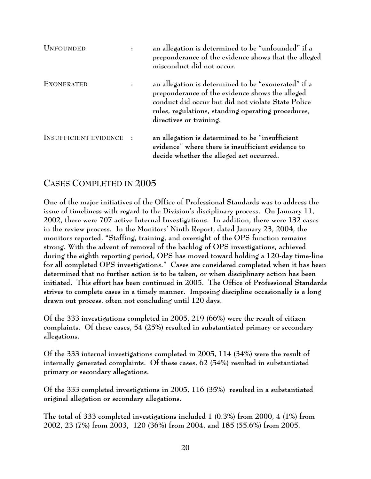| <b>UNFOUNDED</b>             |                      | an allegation is determined to be "unfounded" if a<br>preponderance of the evidence shows that the alleged<br>misconduct did not occur.                                                                                                       |
|------------------------------|----------------------|-----------------------------------------------------------------------------------------------------------------------------------------------------------------------------------------------------------------------------------------------|
| <b>EXONERATED</b>            | $\ddot{\phantom{a}}$ | an allegation is determined to be "exonerated" if a<br>preponderance of the evidence shows the alleged<br>conduct did occur but did not violate State Police<br>rules, regulations, standing operating procedures,<br>directives or training. |
| <b>INSUFFICIENT EVIDENCE</b> | $\cdot$ :            | an allegation is determined to be "insufficient"<br>evidence" where there is insufficient evidence to<br>decide whether the alleged act occurred.                                                                                             |

## **CASES COMPLETED IN 2005**

**One of the major initiatives of the Office of Professional Standards was to address the issue of timeliness with regard to the Division's disciplinary process. On January 11, 2002, there were 707 active Internal Investigations. In addition, there were 132 cases in the review process. In the Monitors' Ninth Report, dated January 23, 2004, the monitors reported, "Staffing, training, and oversight of the OPS function remains strong. With the advent of removal of the backlog of OPS investigations, achieved during the eighth reporting period, OPS has moved toward holding a 120-day time-line for all completed OPS investigations." Cases are considered completed when it has been determined that no further action is to be taken, or when disciplinary action has been initiated. This effort has been continued in 2005. The Office of Professional Standards strives to complete cases in a timely manner. Imposing discipline occasionally is a long drawn out process, often not concluding until 120 days.**

**Of the 333 investigations completed in 2005, 219 (66%) were the result of citizen complaints. Of these cases, 54 (25%) resulted in substantiated primary or secondary allegations.**

**Of the 333 internal investigations completed in 2005, 114 (34%) were the result of internally generated complaints. Of these cases, 62 (54%) resulted in substantiated primary or secondary allegations.**

**Of the 333 completed investigations in 2005, 116 (35%) resulted in a substantiated original allegation or secondary allegations.**

**The total of 333 completed investigations included 1 (0.3%) from 2000, 4 (1%) from 2002, 23 (7%) from 2003, 120 (36%) from 2004, and 185 (55.6%) from 2005.**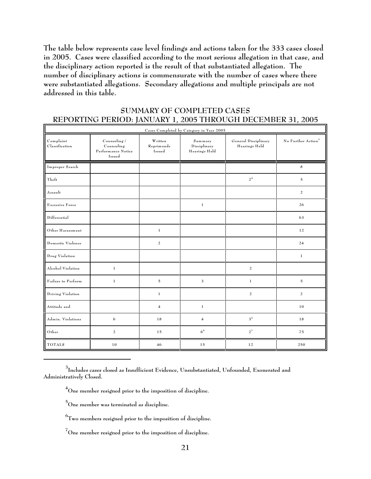**The table below represents case level findings and actions taken for the 333 cases closed in 2005. Cases were classified according to the most serious allegation in that case, and the disciplinary action reported is the result of that substantiated allegation. The number of disciplinary actions is commensurate with the number of cases where there were substantiated allegations. Secondary allegations and multiple principals are not addressed in this table.**

#### **SUMMARY OF COMPLETED CASES REPORTING PERIOD: JANUARY 1, 2005 THROUGH DECEMBER 31, 2005**

| Cases Completed by Category in Year 2005 |                                                            |                                 |                                                                                   |                |                                |  |  |  |
|------------------------------------------|------------------------------------------------------------|---------------------------------|-----------------------------------------------------------------------------------|----------------|--------------------------------|--|--|--|
| Complant<br>Classification               | Counseling /<br>Counseling<br>Performance Notice<br>Issued | Written<br>Reprimands<br>Issued | General Disciplinary<br>Summary<br>Disciplinary<br>Hearings Held<br>Hearings Held |                | No Further Action <sup>3</sup> |  |  |  |
| Improper Search                          |                                                            |                                 |                                                                                   |                | 8                              |  |  |  |
| Theft                                    |                                                            |                                 |                                                                                   | $2^4\,$        | $\mathbf 5$                    |  |  |  |
| Assault                                  |                                                            |                                 |                                                                                   |                | $\overline{a}$                 |  |  |  |
| Excessive Force                          |                                                            |                                 | $\,1$                                                                             |                | 26                             |  |  |  |
| Differential                             |                                                            |                                 |                                                                                   |                | 63                             |  |  |  |
| Other Harassment                         |                                                            | $\,1$                           |                                                                                   |                | 12                             |  |  |  |
| Domestic Violence                        |                                                            | 2                               |                                                                                   |                | 24                             |  |  |  |
| Drug Violation                           |                                                            |                                 |                                                                                   |                | $\mathbf{1}$                   |  |  |  |
| Alcohol Violation                        | $\,1$                                                      |                                 |                                                                                   | $\overline{a}$ |                                |  |  |  |
| Failure to Perform                       | $\,1$                                                      | $\mathbf 5$                     | 3                                                                                 | $\,1$          | $\mathbf 5$                    |  |  |  |
| Driving Violation                        |                                                            | $\,1\,$                         |                                                                                   | $\overline{a}$ | $\overline{a}$                 |  |  |  |
| Attitude and                             |                                                            | $\overline{4}$                  | $\,1$                                                                             |                | $1\,0$                         |  |  |  |
| Admin. Violations                        | 6                                                          | 18                              | $\overline{\mathbf{4}}$                                                           | $3^{\,5}$      | 18                             |  |  |  |
| Other                                    | $\overline{a}$                                             | $15\,$                          | 6 <sup>6</sup>                                                                    | $2^7$          | 75                             |  |  |  |
| <b>TOTALS</b>                            | $10$                                                       | 46                              | 15                                                                                | 12             | 250                            |  |  |  |

**Includes cases closed as Insufficient Evidence, Unsubstantiated, Unfounded, Exonerated and <sup>3</sup> Administratively Closed.**

**One member resigned prior to the imposition of discipline. 4**

**One member was terminated as discipline. 5**

 $^6$ Two members resigned prior to the imposition of discipline.

 $^7$ One member resigned prior to the imposition of discipline.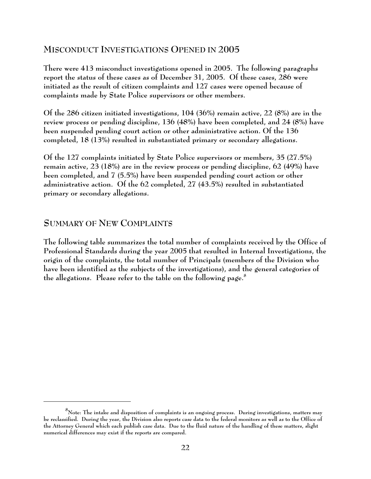### **MISCONDUCT INVESTIGATIONS OPENED IN 2005**

**There were 413 misconduct investigations opened in 2005. The following paragraphs report the status of these cases as of December 31, 2005. Of these cases, 286 were initiated as the result of citizen complaints and 127 cases were opened because of complaints made by State Police supervisors or other members.** 

**Of the 286 citizen initiated investigations, 104 (36%) remain active, 22 (8%) are in the review process or pending discipline, 136 (48%) have been completed, and 24 (8%) have been suspended pending court action or other administrative action. Of the 136 completed, 18 (13%) resulted in substantiated primary or secondary allegations.**

**Of the 127 complaints initiated by State Police supervisors or members, 35 (27.5%) remain active, 23 (18%) are in the review process or pending discipline, 62 (49%) have been completed, and 7 (5.5%) have been suspended pending court action or other administrative action. Of the 62 completed, 27 (43.5%) resulted in substantiated primary or secondary allegations.**

### **SUMMARY OF NEW COMPLAINTS**

**The following table summarizes the total number of complaints received by the Office of Professional Standards during the year 2005 that resulted in Internal Investigations, the origin of the complaints, the total number of Principals (members of the Division who have been identified as the subjects of the investigations), and the general categories of the allegations. Please refer to the table on the following page.<sup>8</sup>**

**Note: The intake and disposition of complaints is an ongoing process. During investigations, matters may 8 be reclassified. During the year, the Division also reports case data to the federal monitors as well as to the Office of the Attorney General which each publish case data. Due to the fluid nature of the handling of these matters, slight numerical differences may exist if the reports are compared.**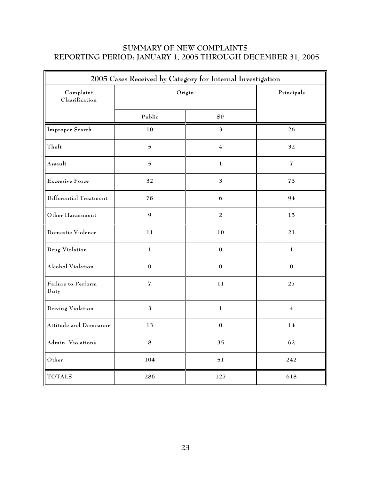### **SUMMARY OF NEW COMPLAINTS REPORTING PERIOD: JANUARY 1, 2005 THROUGH DECEMBER 31, 2005**

| 2005 Cases Received by Category for Internal Investigation |                  |                         |                          |  |  |  |
|------------------------------------------------------------|------------------|-------------------------|--------------------------|--|--|--|
| Complaint<br>Classification                                | Origin           | Principals              |                          |  |  |  |
|                                                            | Public           | SP                      |                          |  |  |  |
| Improper Search                                            | 10               | $\mathfrak{Z}$          | 26                       |  |  |  |
| Theft                                                      | $\overline{5}$   | $\overline{\mathbf{4}}$ | 32                       |  |  |  |
| Assault                                                    | $\overline{5}$   | $\mathbf 1$             | $\overline{\mathcal{I}}$ |  |  |  |
| Excessive Force                                            | 32               | $\mathfrak{Z}$          | 73                       |  |  |  |
| Differential Treatment                                     | 78               | $\boldsymbol{6}$        | 94                       |  |  |  |
| Other Harassment                                           | $\boldsymbol{9}$ | $\sqrt{2}$              | 15                       |  |  |  |
| Domestic Violence                                          | 11               | 10                      | 21                       |  |  |  |
| Drug Violation                                             | $\mathbf{1}$     | $\boldsymbol{0}$        | $\mathbf{1}$             |  |  |  |
| Alcohol Violation                                          | $\boldsymbol{0}$ | $\boldsymbol{0}$        | $\boldsymbol{0}$         |  |  |  |
| Failure to Perform<br>Duty                                 | $\overline{I}$   | 11                      | $27\,$                   |  |  |  |
| Driving Violation                                          | $\mathfrak{Z}$   | $\mathbf{1}$            | $\overline{\mathbf{4}}$  |  |  |  |
| Attitude and Demeanor                                      | 13               | $\boldsymbol{0}$        | 14                       |  |  |  |
| Admin. Violations                                          | 8                | 35                      | 62                       |  |  |  |
| Other                                                      | 104              | ${\bf 51}$              | 242                      |  |  |  |
| <b>TOTALS</b>                                              | 286              | 127                     | 618                      |  |  |  |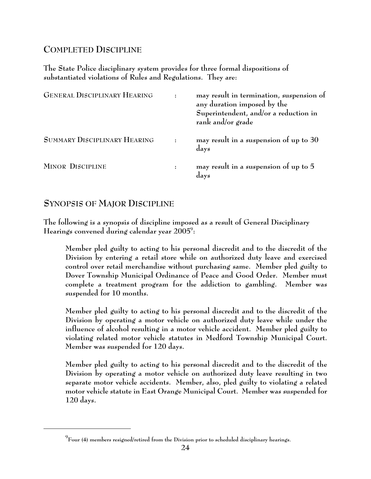# **COMPLETED DISCIPLINE**

**The State Police disciplinary system provides for three formal dispositions of substantiated violations of Rules and Regulations. They are:**

| <b>GENERAL DISCIPLINARY HEARING</b> | may result in termination, suspension of<br>any duration imposed by the<br>Superintendent, and/or a reduction in<br>rank and/or grade |
|-------------------------------------|---------------------------------------------------------------------------------------------------------------------------------------|
| SUMMARY DISCIPLINARY HEARING        | may result in a suspension of up to 30<br>days                                                                                        |
| <b>MINOR DISCIPLINE</b>             | may result in a suspension of up to 5<br>days                                                                                         |

## **SYNOPSIS OF MAJOR DISCIPLINE**

**The following is a synopsis of discipline imposed as a result of General Disciplinary Hearings convened during calendar year 2005 : 9**

Member pled guilty to acting to his personal discredit and to the discredit of the Division by entering a retail store while on authorized duty leave and exercised control over retail merchandise without purchasing same. Member pled guilty to Dover Township Municipal Ordinance of Peace and Good Order. Member must complete a treatment program for the addiction to gambling. Member was suspended for **10** months.

Member pled guilty to acting to his personal discredit and to the discredit of the Division by operating a motor vehicle on authorized duty leave while under the influence of alcohol resulting in a motor vehicle accident. Member pled guilty to violating related motor vehicle statutes in Medford Township Municipal Court. Member was suspended for **120** days.

Member pled guilty to acting to his personal discredit and to the discredit of the Division by operating a motor vehicle on authorized duty leave resulting in two separate motor vehicle accidents. Member, also, pled guilty to violating a related motor vehicle statute in East Orange Municipal Court. Member was suspended for **120** days.

**Four (4) members resigned/retired from the Division prior to scheduled disciplinary hearings. 9**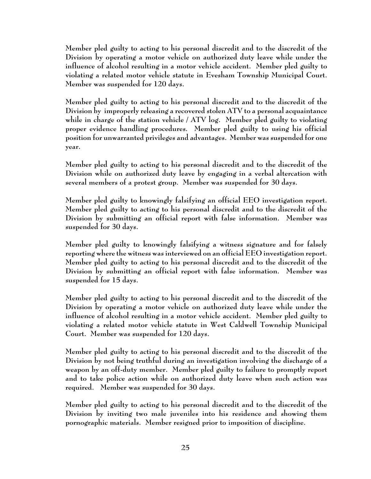Member pled guilty to acting to his personal discredit and to the discredit of the Division by operating a motor vehicle on authorized duty leave while under the influence of alcohol resulting in a motor vehicle accident. Member pled guilty to violating a related motor vehicle statute in Evesham Township Municipal Court. Member was suspended for **120** days.

Member pled guilty to acting to his personal discredit and to the discredit of the Division by improperly releasing a recovered stolen ATV to a personal acquaintance while in charge of the station vehicle / ATV log. Member pled guilty to violating proper evidence handling procedures. Member pled guilty to using his official position for unwarranted privileges and advantages. Member was suspended for **one** year.

Member pled guilty to acting to his personal discredit and to the discredit of the Division while on authorized duty leave by engaging in a verbal altercation with several members of a protest group. Member was suspended for **30** days.

Member pled guilty to knowingly falsifying an official EEO investigation report. Member pled guilty to acting to his personal discredit and to the discredit of the Division by submitting an official report with false information. Member was suspended for **30** days.

Member pled guilty to knowingly falsifying a witness signature and for falsely reporting where the witness was interviewed on an official EEO investigation report. Member pled guilty to acting to his personal discredit and to the discredit of the Division by submitting an official report with false information. Member was suspended for **15** days.

Member pled guilty to acting to his personal discredit and to the discredit of the Division by operating a motor vehicle on authorized duty leave while under the influence of alcohol resulting in a motor vehicle accident. Member pled guilty to violating a related motor vehicle statute in West Caldwell Township Municipal Court. Member was suspended for **120** days.

Member pled guilty to acting to his personal discredit and to the discredit of the Division by not being truthful during an investigation involving the discharge of a weapon by an off-duty member. Member pled guilty to failure to promptly report and to take police action while on authorized duty leave when such action was required. Member was suspended for **30** days.

Member pled guilty to acting to his personal discredit and to the discredit of the Division by inviting two male juveniles into his residence and showing them pornographic materials. Member resigned prior to imposition of discipline.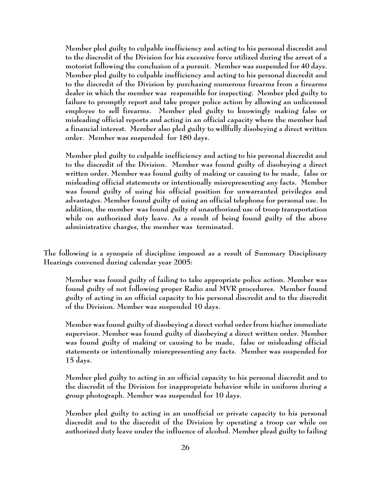Member pled guilty to culpable inefficiency and acting to his personal discredit and to the discredit of the Division for his excessive force utilized during the arrest of a motorist following the conclusion of a pursuit. Member was suspended for **40** days. Member pled guilty to culpable inefficiency and acting to his personal discredit and to the discredit of the Division by purchasing numerous firearms from a firearms dealer in which the member was responsible for inspecting. Member pled guilty to failure to promptly report and take proper police action by allowing an unlicensed employee to sell firearms. Member pled guilty to knowingly making false or misleading official reports and acting in an official capacity where the member had a financial interest. Member also pled guilty to willfully disobeying a direct written order. Member was suspended for **180** days.

Member pled guilty to culpable inefficiency and acting to his personal discredit and to the discredit of the Division. Member was found guilty of disobeying a direct written order. Member was found guilty of making or causing to be made, false or misleading official statements or intentionally misrepresenting any facts. Member was found guilty of using his official position for unwarranted privileges and advantages. Member found guilty of using an official telephone for personal use. In addition, the member was found guilty of unauthorized use of troop transportation while on authorized duty leave. As a result of being found guilty of the above administrative charges, the member was **terminated**.

**The following is a synopsis of discipline imposed as a result of Summary Disciplinary Hearings convened during calendar year 2005:**

Member was found guilty of failing to take appropriate police action. Member was found guilty of not following proper Radio and MVR procedures. Member found guilty of acting in an official capacity to his personal discredit and to the discredit of the Division. Member was suspended **10** days.

Member was found guilty of disobeying a direct verbal order from his/her immediate supervisor. Member was found guilty of disobeying a direct written order. Member was found guilty of making or causing to be made, false or misleading official statements or intentionally misrepresenting any facts. Member was suspended for **15** days.

Member pled guilty to acting in an official capacity to his personal discredit and to the discredit of the Division for inappropriate behavior while in uniform during a group photograph. Member was suspended for **10** days.

Member pled guilty to acting in an unofficial or private capacity to his personal discredit and to the discredit of the Division by operating a troop car while on authorized duty leave under the influence of alcohol. Member plead guilty to failing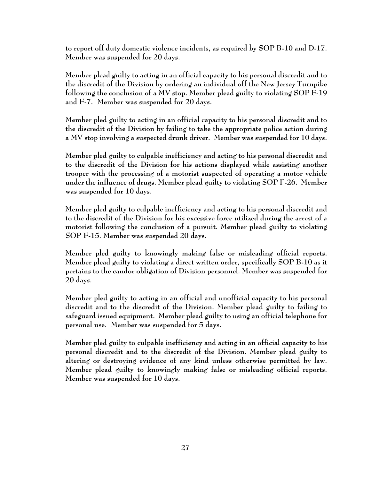to report off duty domestic violence incidents, as required by SOP B-10 and D-17. Member was suspended for **20** days.

Member plead guilty to acting in an official capacity to his personal discredit and to the discredit of the Division by ordering an individual off the New Jersey Turnpike following the conclusion of a MV stop. Member plead guilty to violating SOP F-19 and F-7. Member was suspended for **20** days.

Member pled guilty to acting in an official capacity to his personal discredit and to the discredit of the Division by failing to take the appropriate police action during a MV stop involving a suspected drunk driver. Member was suspended for **10** days.

Member pled guilty to culpable inefficiency and acting to his personal discredit and to the discredit of the Division for his actions displayed while assisting another trooper with the processing of a motorist suspected of operating a motor vehicle under the influence of drugs. Member plead guilty to violating SOP F-26. Member was suspended for **10** days.

Member pled guilty to culpable inefficiency and acting to his personal discredit and to the discredit of the Division for his excessive force utilized during the arrest of a motorist following the conclusion of a pursuit. Member plead guilty to violating SOP F-15. Member was suspended **20** days.

Member pled guilty to knowingly making false or misleading official reports. Member plead guilty to violating a direct written order, specifically SOP B-10 as it pertains to the candor obligation of Division personnel. Member was suspended for **20** days.

Member pled guilty to acting in an official and unofficial capacity to his personal discredit and to the discredit of the Division. Member plead guilty to failing to safeguard issued equipment. Member plead guilty to using an official telephone for personal use. Member was suspended for **5** days.

Member pled guilty to culpable inefficiency and acting in an official capacity to his personal discredit and to the discredit of the Division. Member plead guilty to altering or destroying evidence of any kind unless otherwise permitted by law. Member plead guilty to knowingly making false or misleading official reports. Member was suspended for **10** days.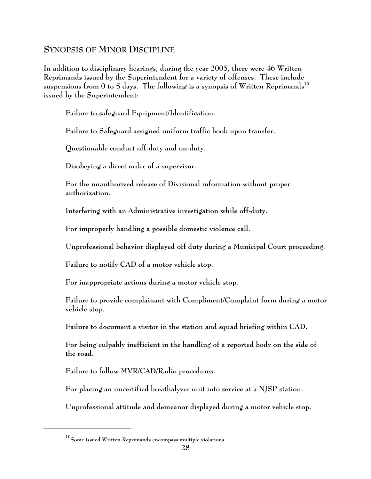## **SYNOPSIS OF MINOR DISCIPLINE**

**In addition to disciplinary hearings, during the year 2005, there were 46 Written Reprimands issued by the Superintendent for a variety of offenses. These include suspensions from 0 to 5 days. The following is a synopsis of Written Reprimands 10 issued by the Superintendent:**

Failure to safeguard Equipment/Identification.

Failure to Safeguard assigned uniform traffic book upon transfer.

Questionable conduct off-duty and on-duty.

Disobeying a direct order of a supervisor.

For the unauthorized release of Divisional information without proper authorization.

Interfering with an Administrative investigation while off-duty.

For improperly handling a possible domestic violence call.

Unprofessional behavior displayed off duty during a Municipal Court proceeding.

Failure to notify CAD of a motor vehicle stop.

For inappropriate actions during a motor vehicle stop.

Failure to provide complainant with Compliment/Complaint form during a motor vehicle stop.

Failure to document a visitor in the station and squad briefing within CAD.

For being culpably inefficient in the handling of a reported body on the side of the road.

Failure to follow MVR/CAD/Radio procedures.

For placing an uncertified breathalyzer unit into service at a NJSP station.

Unprofessional attitude and demeanor displayed during a motor vehicle stop.

**Some issued Written Reprimands encompass multiple violations. <sup>10</sup>**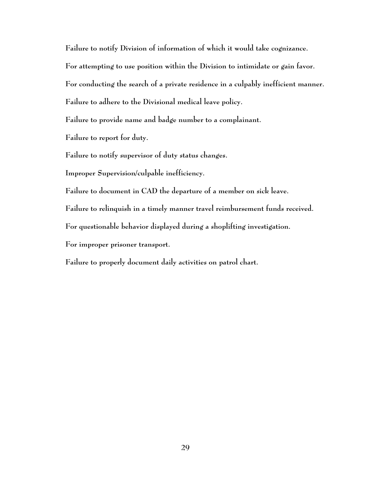Failure to notify Division of information of which it would take cognizance. For attempting to use position within the Division to intimidate or gain favor. For conducting the search of a private residence in a culpably inefficient manner. Failure to adhere to the Divisional medical leave policy.

Failure to provide name and badge number to a complainant.

Failure to report for duty.

Failure to notify supervisor of duty status changes.

Improper Supervision/culpable inefficiency.

Failure to document in CAD the departure of a member on sick leave.

Failure to relinquish in a timely manner travel reimbursement funds received.

For questionable behavior displayed during a shoplifting investigation.

For improper prisoner transport.

Failure to properly document daily activities on patrol chart.